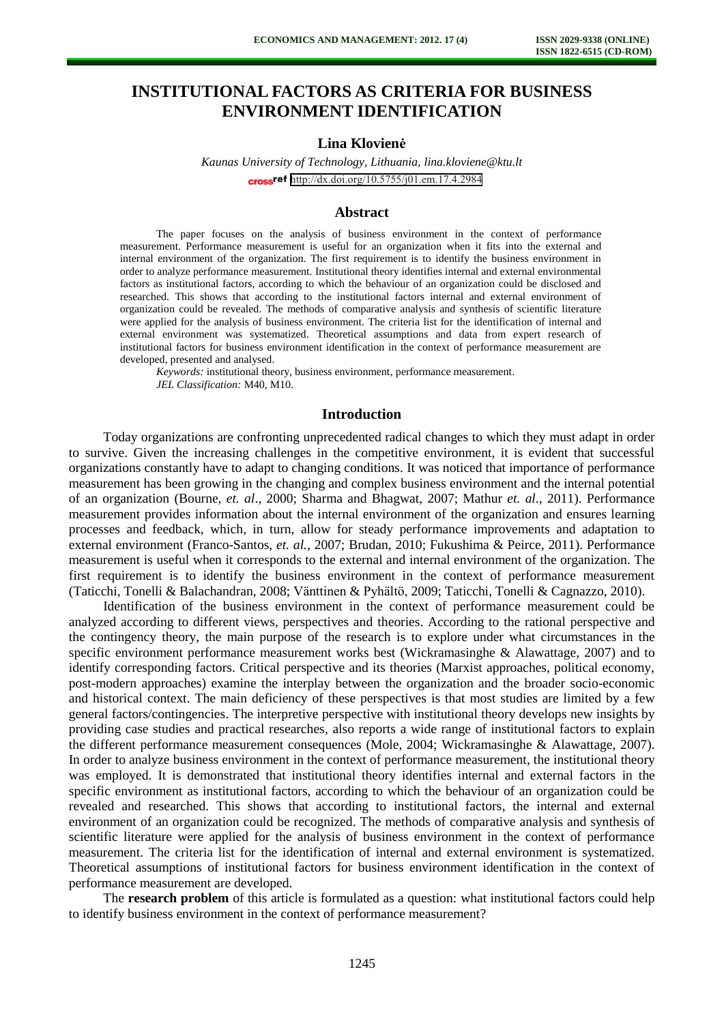# **INSTITUTIONAL FACTORS AS CRITERIA FOR BUSINESS ENVIRONMENT IDENTIFICATION**

## **Lina Klovienė**

*Kaunas University of Technology, Lithuania[, lina.kloviene@ktu.lt](mailto:lina.kloviene@ktu.lt)* cross<sup>ref</sup> <http://dx.doi.org/10.5755/j01.em.17.4.2984>

#### **Abstract**

The paper focuses on the analysis of business environment in the context of performance measurement. Performance measurement is useful for an organization when it fits into the external and internal environment of the organization. The first requirement is to identify the business environment in order to analyze performance measurement. Institutional theory identifies internal and external environmental factors as institutional factors, according to which the behaviour of an organization could be disclosed and researched. This shows that according to the institutional factors internal and external environment of organization could be revealed. The methods of comparative analysis and synthesis of scientific literature were applied for the analysis of business environment. The criteria list for the identification of internal and external environment was systematized. Theoretical assumptions and data from expert research of institutional factors for business environment identification in the context of performance measurement are developed, presented and analysed.

*Keywords:* institutional theory, business environment, performance measurement. *JEL Classification:* M40, M10.

## **Introduction**

Today organizations are confronting unprecedented radical changes to which they must adapt in order to survive. Given the increasing challenges in the competitive environment, it is evident that successful organizations constantly have to adapt to changing conditions. It was noticed that importance of performance measurement has been growing in the changing and complex business environment and the internal potential of an organization (Bourne, *et. al*., 2000; Sharma and Bhagwat, 2007; Mathur *et. al*., 2011). Performance measurement provides information about the internal environment of the organization and ensures learning processes and feedback, which, in turn, allow for steady performance improvements and adaptation to external environment (Franco-Santos, *et. al.*, 2007; Brudan, 2010; Fukushima & Peirce, 2011). Performance measurement is useful when it corresponds to the external and internal environment of the organization. The first requirement is to identify the business environment in the context of performance measurement (Taticchi, Tonelli & Balachandran, 2008; Vänttinen & Pyhältö, 2009; Taticchi, Tonelli & Cagnazzo, 2010).

Identification of the business environment in the context of performance measurement could be analyzed according to different views, perspectives and theories. According to the rational perspective and the contingency theory, the main purpose of the research is to explore under what circumstances in the specific environment performance measurement works best (Wickramasinghe & Alawattage, 2007) and to identify corresponding factors. Critical perspective and its theories (Marxist approaches, political economy, post-modern approaches) examine the interplay between the organization and the broader socio-economic and historical context. The main deficiency of these perspectives is that most studies are limited by a few general factors/contingencies. The interpretive perspective with institutional theory develops new insights by providing case studies and practical researches, also reports a wide range of institutional factors to explain the different performance measurement consequences (Mole, 2004; Wickramasinghe & Alawattage, 2007). In order to analyze business environment in the context of performance measurement, the institutional theory was employed. It is demonstrated that institutional theory identifies internal and external factors in the specific environment as institutional factors, according to which the behaviour of an organization could be revealed and researched. This shows that according to institutional factors, the internal and external environment of an organization could be recognized. The methods of comparative analysis and synthesis of scientific literature were applied for the analysis of business environment in the context of performance measurement. The criteria list for the identification of internal and external environment is systematized. Theoretical assumptions of institutional factors for business environment identification in the context of performance measurement are developed.

The **research problem** of this article is formulated as a question: what institutional factors could help to identify business environment in the context of performance measurement?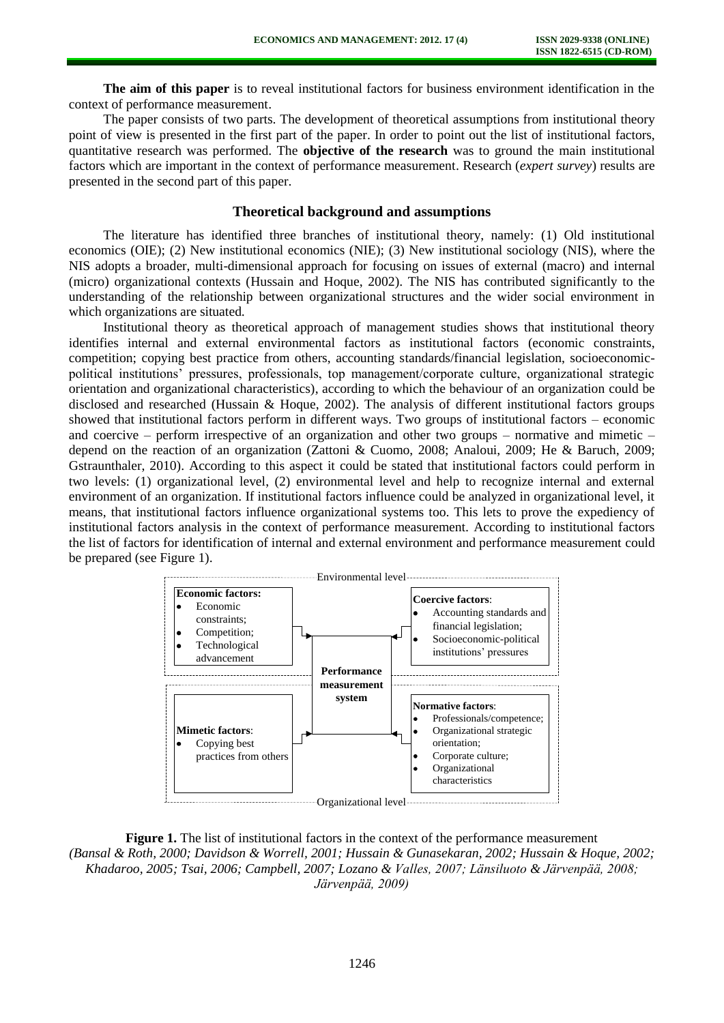**The aim of this paper** is to reveal institutional factors for business environment identification in the context of performance measurement.

The paper consists of two parts. The development of theoretical assumptions from institutional theory point of view is presented in the first part of the paper. In order to point out the list of institutional factors, quantitative research was performed. The **objective of the research** was to ground the main institutional factors which are important in the context of performance measurement. Research (*expert survey*) results are presented in the second part of this paper.

## **Theoretical background and assumptions**

The literature has identified three branches of institutional theory, namely: (1) Old institutional economics (OIE); (2) New institutional economics (NIE); (3) New institutional sociology (NIS), where the NIS adopts a broader, multi-dimensional approach for focusing on issues of external (macro) and internal (micro) organizational contexts (Hussain and Hoque, 2002). The NIS has contributed significantly to the understanding of the relationship between organizational structures and the wider social environment in which organizations are situated.

Institutional theory as theoretical approach of management studies shows that institutional theory identifies internal and external environmental factors as institutional factors (economic constraints, competition; copying best practice from others, accounting standards/financial legislation, socioeconomicpolitical institutions' pressures, professionals, top management/corporate culture, organizational strategic orientation and organizational characteristics), according to which the behaviour of an organization could be disclosed and researched (Hussain & Hoque, 2002). The analysis of different institutional factors groups showed that institutional factors perform in different ways. Two groups of institutional factors – economic and coercive – perform irrespective of an organization and other two groups – normative and mimetic – depend on the reaction of an organization (Zattoni & Cuomo, 2008; Analoui, 2009; He & Baruch, 2009; Gstraunthaler, 2010). According to this aspect it could be stated that institutional factors could perform in two levels: (1) organizational level, (2) environmental level and help to recognize internal and external environment of an organization. If institutional factors influence could be analyzed in organizational level, it means, that institutional factors influence organizational systems too. This lets to prove the expediency of institutional factors analysis in the context of performance measurement. According to institutional factors the list of factors for identification of internal and external environment and performance measurement could be prepared (see Figure 1).



**Figure 1.** The list of institutional factors in the context of the performance measurement *(Bansal & Roth, 2000; Davidson & Worrell, 2001; Hussain & Gunasekaran, 2002; Hussain & Hoque, 2002; Khadaroo, 2005; Tsai, 2006; Campbell, 2007; Lozano & Valles, 2007; Länsiluoto & Järvenpää, 2008; Järvenpää, 2009)*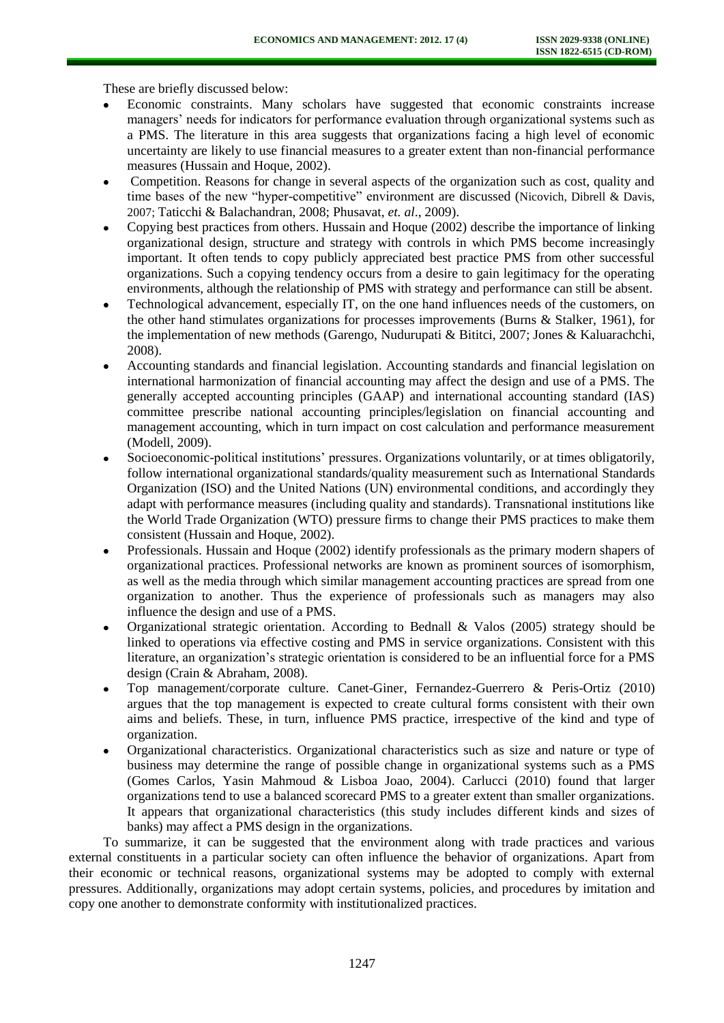These are briefly discussed below:

- Economic constraints. Many scholars have suggested that economic constraints increase managers' needs for indicators for performance evaluation through organizational systems such as a PMS. The literature in this area suggests that organizations facing a high level of economic uncertainty are likely to use financial measures to a greater extent than non-financial performance measures (Hussain and Hoque, 2002).
- Competition. Reasons for change in several aspects of the organization such as cost, quality and time bases of the new "hyper-competitive" environment are discussed (Nicovich, Dibrell & Davis, 2007; Taticchi & Balachandran, 2008; Phusavat, *et. al*., 2009).
- Copying best practices from others. Hussain and Hoque (2002) describe the importance of linking organizational design, structure and strategy with controls in which PMS become increasingly important. It often tends to copy publicly appreciated best practice PMS from other successful organizations. Such a copying tendency occurs from a desire to gain legitimacy for the operating environments, although the relationship of PMS with strategy and performance can still be absent.
- Technological advancement, especially IT, on the one hand influences needs of the customers, on the other hand stimulates organizations for processes improvements (Burns & Stalker, 1961), for the implementation of new methods (Garengo, Nudurupati & Bititci, 2007; Jones & Kaluarachchi, 2008).
- Accounting standards and financial legislation. Accounting standards and financial legislation on international harmonization of financial accounting may affect the design and use of a PMS. The generally accepted accounting principles (GAAP) and international accounting standard (IAS) committee prescribe national accounting principles/legislation on financial accounting and management accounting, which in turn impact on cost calculation and performance measurement (Modell, 2009).
- Socioeconomic-political institutions' pressures. Organizations voluntarily, or at times obligatorily, follow international organizational standards/quality measurement such as International Standards Organization (ISO) and the United Nations (UN) environmental conditions, and accordingly they adapt with performance measures (including quality and standards). Transnational institutions like the World Trade Organization (WTO) pressure firms to change their PMS practices to make them consistent (Hussain and Hoque, 2002).
- Professionals. Hussain and Hoque (2002) identify professionals as the primary modern shapers of organizational practices. Professional networks are known as prominent sources of isomorphism, as well as the media through which similar management accounting practices are spread from one organization to another. Thus the experience of professionals such as managers may also influence the design and use of a PMS.
- Organizational strategic orientation. According to Bednall & Valos (2005) strategy should be linked to operations via effective costing and PMS in service organizations. Consistent with this literature, an organization's strategic orientation is considered to be an influential force for a PMS design (Crain & Abraham, 2008).
- Top management/corporate culture. Canet-Giner, Fernandez-Guerrero & Peris-Ortiz (2010) argues that the top management is expected to create cultural forms consistent with their own aims and beliefs. These, in turn, influence PMS practice, irrespective of the kind and type of organization.
- Organizational characteristics. Organizational characteristics such as size and nature or type of business may determine the range of possible change in organizational systems such as a PMS (Gomes Carlos, Yasin Mahmoud & Lisboa Joao, 2004). Carlucci (2010) found that larger organizations tend to use a balanced scorecard PMS to a greater extent than smaller organizations. It appears that organizational characteristics (this study includes different kinds and sizes of banks) may affect a PMS design in the organizations.

To summarize, it can be suggested that the environment along with trade practices and various external constituents in a particular society can often influence the behavior of organizations. Apart from their economic or technical reasons, organizational systems may be adopted to comply with external pressures. Additionally, organizations may adopt certain systems, policies, and procedures by imitation and copy one another to demonstrate conformity with institutionalized practices.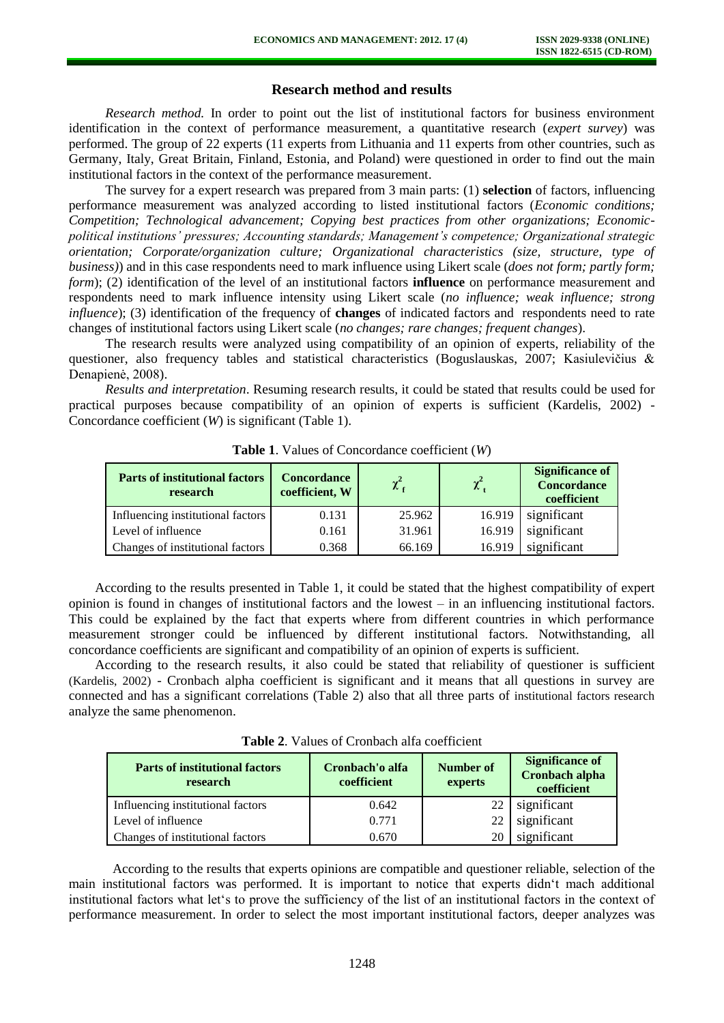# **Research method and results**

*Research method.* In order to point out the list of institutional factors for business environment identification in the context of performance measurement, a quantitative research (*expert survey*) was performed. The group of 22 experts (11 experts from Lithuania and 11 experts from other countries, such as Germany, Italy, Great Britain, Finland, Estonia, and Poland) were questioned in order to find out the main institutional factors in the context of the performance measurement.

The survey for a expert research was prepared from 3 main parts: (1) **selection** of factors, influencing performance measurement was analyzed according to listed institutional factors (*Economic conditions; Competition; Technological advancement; Copying best practices from other organizations; Economicpolitical institutions' pressures; Accounting standards; Management's competence; Organizational strategic orientation; Corporate/organization culture; Organizational characteristics (size, structure, type of business)*) and in this case respondents need to mark influence using Likert scale (*does not form; partly form; form*); (2) identification of the level of an institutional factors **influence** on performance measurement and respondents need to mark influence intensity using Likert scale (*no influence; weak influence; strong influence*); (3) identification of the frequency of **changes** of indicated factors and respondents need to rate changes of institutional factors using Likert scale (*no changes; rare changes; frequent changes*).

The research results were analyzed using compatibility of an opinion of experts, reliability of the questioner, also frequency tables and statistical characteristics (Boguslauskas, 2007; Kasiulevičius & Denapienė, 2008).

*Results and interpretation*. Resuming research results, it could be stated that results could be used for practical purposes because compatibility of an opinion of experts is sufficient (Kardelis, 2002) - Concordance coefficient (*W*) is significant (Table 1).

| <b>Parts of institutional factors</b><br>research | <b>Concordance</b><br>coefficient, W | $\chi^2_{\rm f}$ | $\chi^2$ | <b>Significance of</b><br><b>Concordance</b><br>coefficient |  |
|---------------------------------------------------|--------------------------------------|------------------|----------|-------------------------------------------------------------|--|
| Influencing institutional factors                 | 0.131                                | 25.962           | 16.919   | significant                                                 |  |
| Level of influence                                | 0.161                                | 31.961           | 16.919   | significant                                                 |  |
| Changes of institutional factors                  | 0.368                                | 66.169           | 16.919   | significant                                                 |  |

**Table 1**. Values of Concordance coefficient (*W*)

According to the results presented in Table 1, it could be stated that the highest compatibility of expert opinion is found in changes of institutional factors and the lowest – in an influencing institutional factors. This could be explained by the fact that experts where from different countries in which performance measurement stronger could be influenced by different institutional factors. Notwithstanding, all concordance coefficients are significant and compatibility of an opinion of experts is sufficient.

According to the research results, it also could be stated that reliability of questioner is sufficient (Kardelis, 2002) - Cronbach alpha coefficient is significant and it means that all questions in survey are connected and has a significant correlations (Table 2) also that all three parts of institutional factors research analyze the same phenomenon.

|  |  |  |  |  | <b>Table 2.</b> Values of Cronbach alfa coefficient |
|--|--|--|--|--|-----------------------------------------------------|
|--|--|--|--|--|-----------------------------------------------------|

| <b>Parts of institutional factors</b><br>research | Cronbach'o alfa<br>coefficient | Number of<br>experts | <b>Significance of</b><br><b>Cronbach alpha</b><br>coefficient |
|---------------------------------------------------|--------------------------------|----------------------|----------------------------------------------------------------|
| Influencing institutional factors                 | 0.642                          | 22                   | significant                                                    |
| Level of influence                                | 0.771                          |                      | significant                                                    |
| Changes of institutional factors                  | 0.670                          |                      | significant                                                    |

According to the results that experts opinions are compatible and questioner reliable, selection of the main institutional factors was performed. It is important to notice that experts didn't mach additional institutional factors what let's to prove the sufficiency of the list of an institutional factors in the context of performance measurement. In order to select the most important institutional factors, deeper analyzes was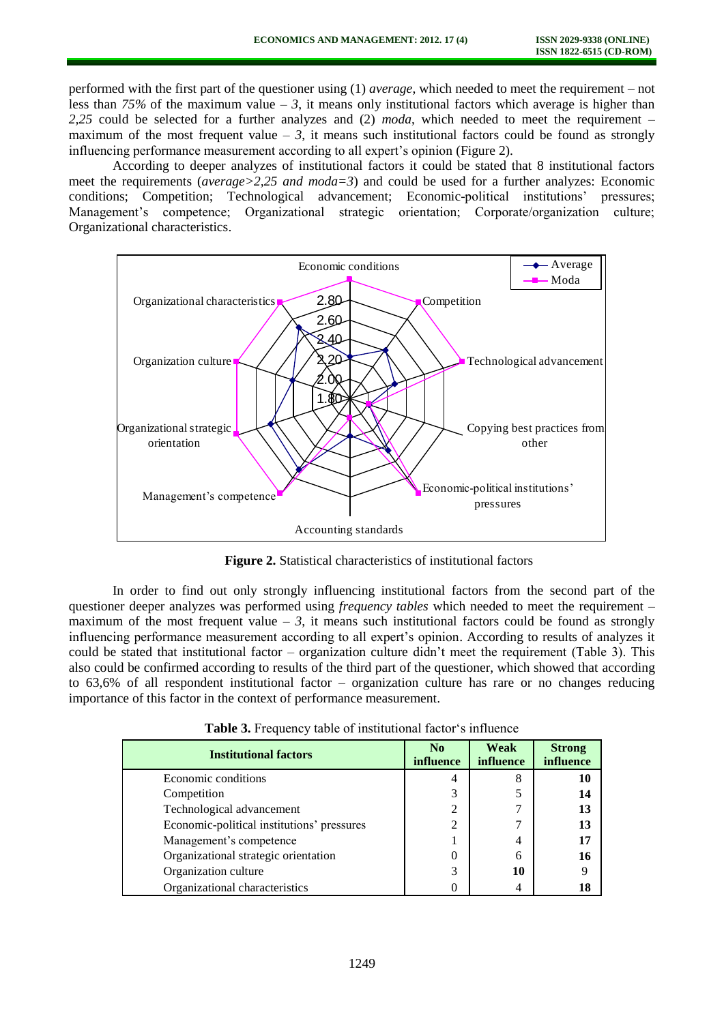performed with the first part of the questioner using (1) *average*, which needed to meet the requirement – not less than 75% of the maximum value  $-3$ , it means only institutional factors which average is higher than *2,25* could be selected for a further analyzes and (2) *moda*, which needed to meet the requirement – maximum of the most frequent value  $-3$ , it means such institutional factors could be found as strongly influencing performance measurement according to all expert's opinion (Figure 2).

According to deeper analyzes of institutional factors it could be stated that 8 institutional factors meet the requirements (*average>2,25 and moda=3*) and could be used for a further analyzes: Economic conditions; Competition; Technological advancement; Economic-political institutions' pressures; Management's competence; Organizational strategic orientation; Corporate/organization culture; Organizational characteristics.



**Figure 2.** Statistical characteristics of institutional factors

In order to find out only strongly influencing institutional factors from the second part of the questioner deeper analyzes was performed using *frequency tables* which needed to meet the requirement – maximum of the most frequent value  $-3$ , it means such institutional factors could be found as strongly influencing performance measurement according to all expert's opinion. According to results of analyzes it could be stated that institutional factor – organization culture didn't meet the requirement (Table 3). This also could be confirmed according to results of the third part of the questioner, which showed that according to 63,6% of all respondent institutional factor – organization culture has rare or no changes reducing importance of this factor in the context of performance measurement.

| <b>Institutional factors</b>               | No<br>influence | Weak<br><i>influence</i> | <b>Strong</b><br><b>influence</b> |
|--------------------------------------------|-----------------|--------------------------|-----------------------------------|
| Economic conditions                        | 4               | 8                        | 10                                |
| Competition                                | 3               |                          | 14                                |
| Technological advancement                  | $\overline{2}$  |                          | 13                                |
| Economic-political institutions' pressures | $\overline{2}$  |                          | 13                                |
| Management's competence                    |                 | 4                        | 17                                |
| Organizational strategic orientation       | 0               | 6                        | 16                                |
| Organization culture                       | 3               | 10                       |                                   |
| Organizational characteristics             |                 | 4                        | 18                                |

**Table 3.** Frequency table of institutional factor's influence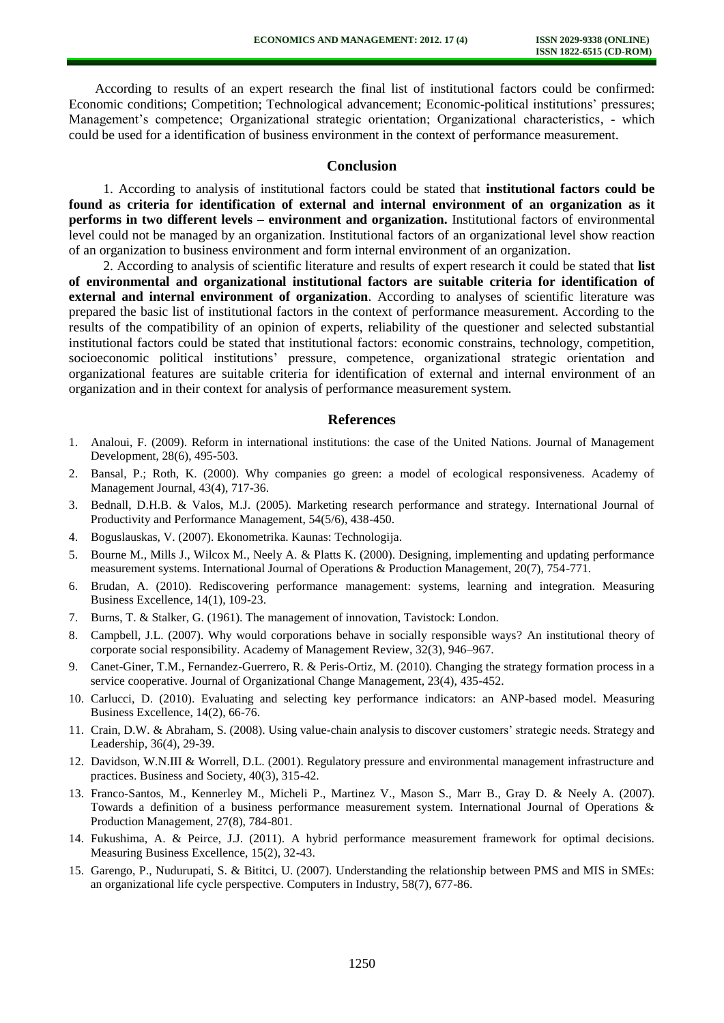According to results of an expert research the final list of institutional factors could be confirmed: Economic conditions; Competition; Technological advancement; Economic-political institutions' pressures; Management's competence; Organizational strategic orientation; Organizational characteristics, - which could be used for a identification of business environment in the context of performance measurement.

#### **Conclusion**

1. According to analysis of institutional factors could be stated that **institutional factors could be found as criteria for identification of external and internal environment of an organization as it performs in two different levels – environment and organization.** Institutional factors of environmental level could not be managed by an organization. Institutional factors of an organizational level show reaction of an organization to business environment and form internal environment of an organization.

2. According to analysis of scientific literature and results of expert research it could be stated that **list of environmental and organizational institutional factors are suitable criteria for identification of external and internal environment of organization**. According to analyses of scientific literature was prepared the basic list of institutional factors in the context of performance measurement. According to the results of the compatibility of an opinion of experts, reliability of the questioner and selected substantial institutional factors could be stated that institutional factors: economic constrains, technology, competition, socioeconomic political institutions' pressure, competence, organizational strategic orientation and organizational features are suitable criteria for identification of external and internal environment of an organization and in their context for analysis of performance measurement system.

#### **References**

- 1. Analoui, F. (2009). Reform in international institutions: the case of the United Nations. Journal of Management Development, 28(6), 495-503.
- 2. Bansal, P.; Roth, K. (2000). Why companies go green: a model of ecological responsiveness. Academy of Management Journal, 43(4), 717-36.
- 3. Bednall, D.H.B. & Valos, M.J. (2005). Marketing research performance and strategy. International Journal of Productivity and Performance Management, 54(5/6), 438-450.
- 4. Boguslauskas, V. (2007). Ekonometrika. Kaunas: Technologija.
- 5. Bourne M., Mills J., Wilcox M., Neely A. & Platts K. (2000). Designing, implementing and updating performance measurement systems. International Journal of Operations & Production Management, 20(7), 754-771.
- 6. Brudan, A. (2010). Rediscovering performance management: systems, learning and integration. Measuring Business Excellence, 14(1), 109-23.
- 7. Burns, T. & Stalker, G. (1961). The management of innovation, Tavistock: London.
- 8. Campbell, J.L. (2007). Why would corporations behave in socially responsible ways? An institutional theory of corporate social responsibility. Academy of Management Review, 32(3), 946–967.
- 9. Canet-Giner, T.M., Fernandez-Guerrero, R. & Peris-Ortiz, M. (2010). Changing the strategy formation process in a service cooperative. Journal of Organizational Change Management, 23(4), 435-452.
- 10. Carlucci, D. (2010). Evaluating and selecting key performance indicators: an ANP-based model. Measuring Business Excellence, 14(2), 66-76.
- 11. Crain, D.W. & Abraham, S. (2008). Using value-chain analysis to discover customers' strategic needs. Strategy and Leadership, 36(4), 29-39.
- 12. Davidson, W.N.III & Worrell, D.L. (2001). Regulatory pressure and environmental management infrastructure and practices. Business and Society, 40(3), 315-42.
- 13. Franco-Santos, M., Kennerley M., Micheli P., Martinez V., Mason S., Marr B., Gray D. & Neely A. (2007). Towards a definition of a business performance measurement system. International Journal of Operations & Production Management, 27(8), 784-801.
- 14. Fukushima, A. & Peirce, J.J. (2011). A hybrid performance measurement framework for optimal decisions. Measuring Business Excellence, 15(2), 32-43.
- 15. Garengo, P., Nudurupati, S. & Bititci, U. (2007). Understanding the relationship between PMS and MIS in SMEs: an organizational life cycle perspective. Computers in Industry, 58(7), 677-86.